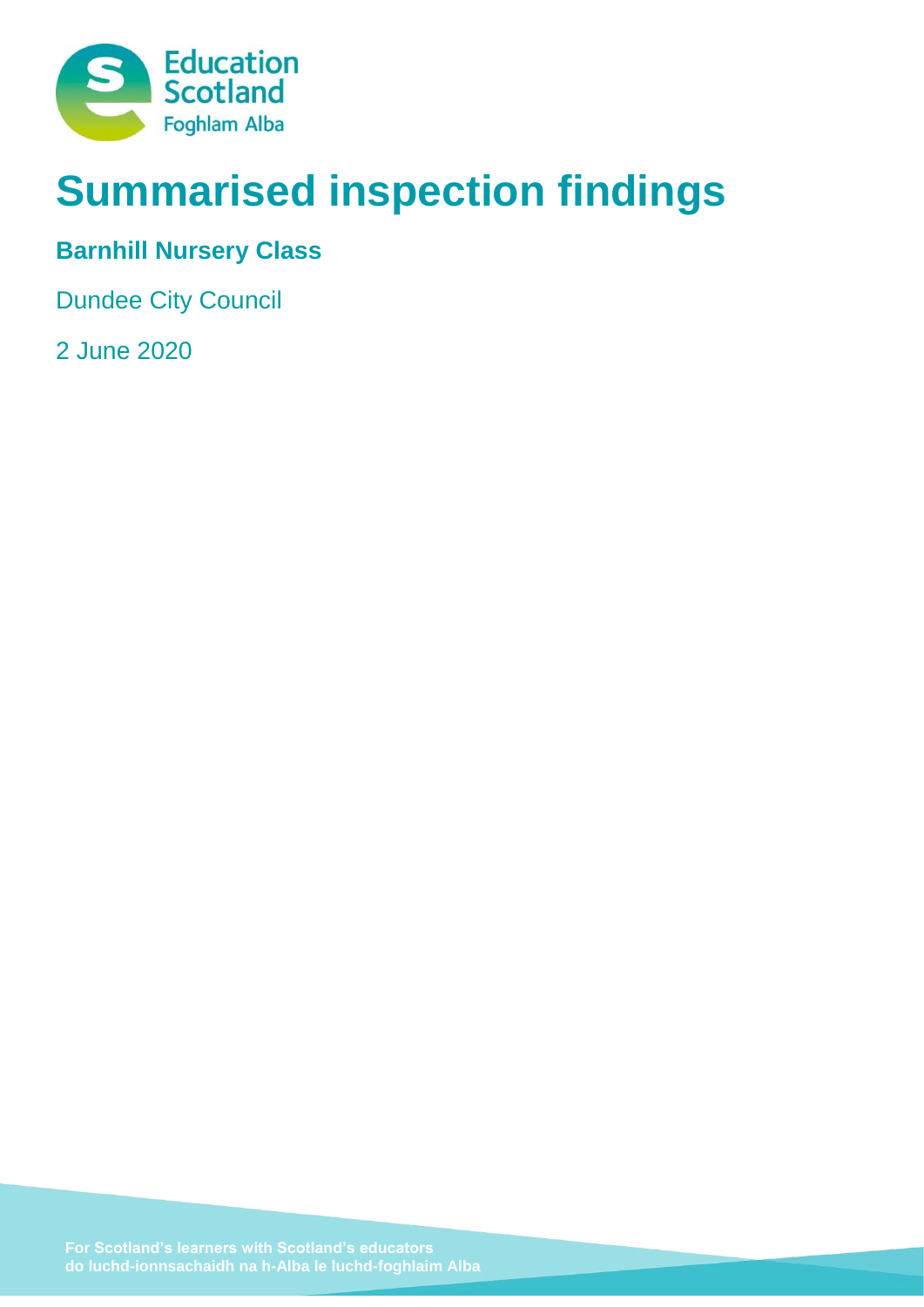

# **Summarised inspection findings**

# **Barnhill Nursery Class**

Dundee City Council

2 June 2020

**do luchd-ionnsachaidh na h-Alba le luchd-foghlaim Alba**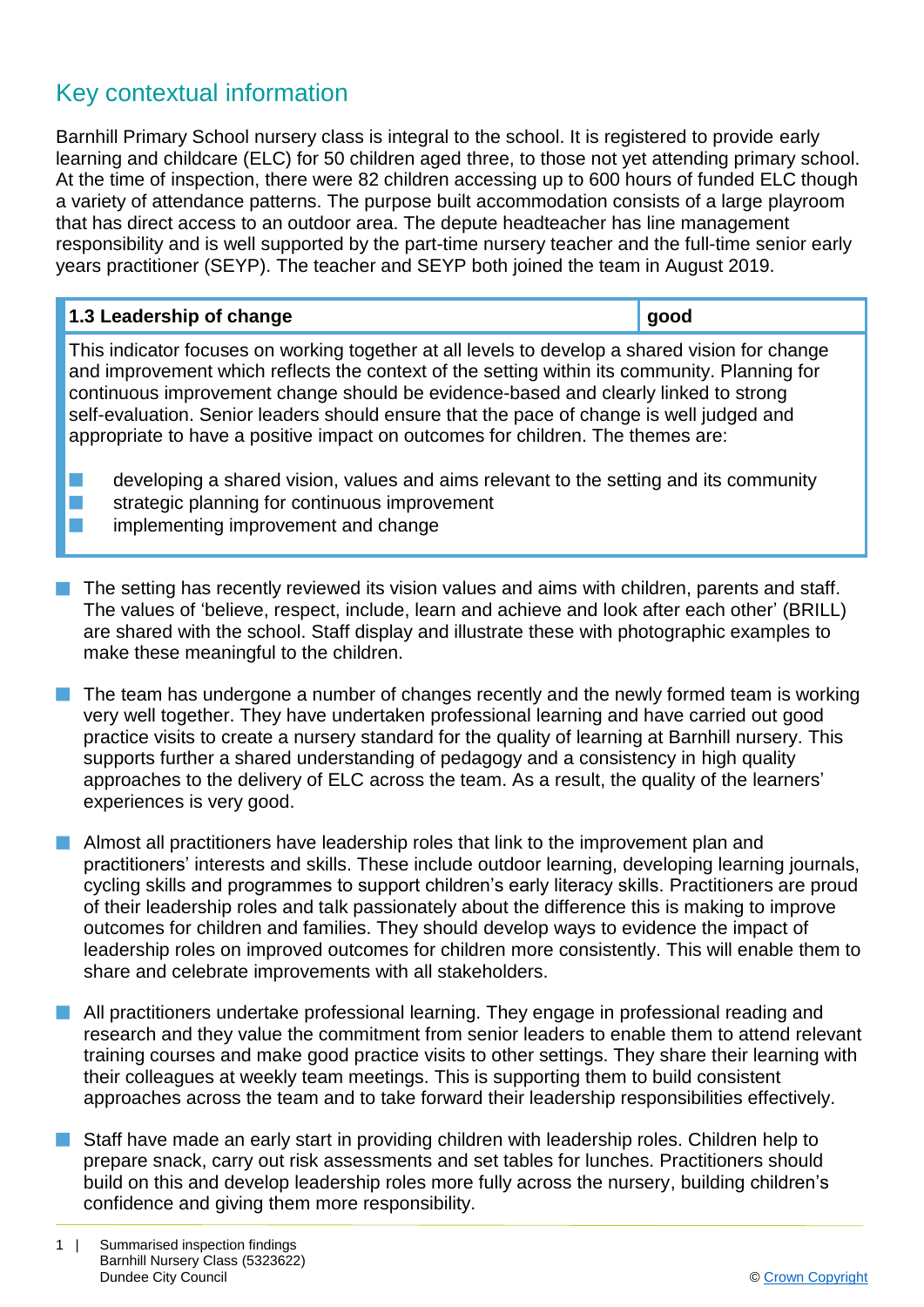## Key contextual information

Barnhill Primary School nursery class is integral to the school. It is registered to provide early learning and childcare (ELC) for 50 children aged three, to those not yet attending primary school. At the time of inspection, there were 82 children accessing up to 600 hours of funded ELC though a variety of attendance patterns. The purpose built accommodation consists of a large playroom that has direct access to an outdoor area. The depute headteacher has line management responsibility and is well supported by the part-time nursery teacher and the full-time senior early years practitioner (SEYP). The teacher and SEYP both joined the team in August 2019.

| 1.3 Leadership of change                                                                                                                                                                                                                                                                                                                                                                                                                                             | good |
|----------------------------------------------------------------------------------------------------------------------------------------------------------------------------------------------------------------------------------------------------------------------------------------------------------------------------------------------------------------------------------------------------------------------------------------------------------------------|------|
| This indicator focuses on working together at all levels to develop a shared vision for change<br>and improvement which reflects the context of the setting within its community. Planning for<br>continuous improvement change should be evidence-based and clearly linked to strong<br>self-evaluation. Senior leaders should ensure that the pace of change is well judged and<br>appropriate to have a positive impact on outcomes for children. The themes are: |      |
| developing a shared vision, values and aims relevant to the setting and its community<br>strategic planning for continuous improvement                                                                                                                                                                                                                                                                                                                               |      |

implementing improvement and change

The setting has recently reviewed its vision values and aims with children, parents and staff. The values of 'believe, respect, include, learn and achieve and look after each other' (BRILL) are shared with the school. Staff display and illustrate these with photographic examples to make these meaningful to the children.

- The team has undergone a number of changes recently and the newly formed team is working very well together. They have undertaken professional learning and have carried out good practice visits to create a nursery standard for the quality of learning at Barnhill nursery. This supports further a shared understanding of pedagogy and a consistency in high quality approaches to the delivery of ELC across the team. As a result, the quality of the learners' experiences is very good.
- $\blacksquare$  Almost all practitioners have leadership roles that link to the improvement plan and practitioners' interests and skills. These include outdoor learning, developing learning journals, cycling skills and programmes to support children's early literacy skills. Practitioners are proud of their leadership roles and talk passionately about the difference this is making to improve outcomes for children and families. They should develop ways to evidence the impact of leadership roles on improved outcomes for children more consistently. This will enable them to share and celebrate improvements with all stakeholders.
- **n** All practitioners undertake professional learning. They engage in professional reading and research and they value the commitment from senior leaders to enable them to attend relevant training courses and make good practice visits to other settings. They share their learning with their colleagues at weekly team meetings. This is supporting them to build consistent approaches across the team and to take forward their leadership responsibilities effectively.
- n Staff have made an early start in providing children with leadership roles. Children help to prepare snack, carry out risk assessments and set tables for lunches. Practitioners should build on this and develop leadership roles more fully across the nursery, building children's confidence and giving them more responsibility.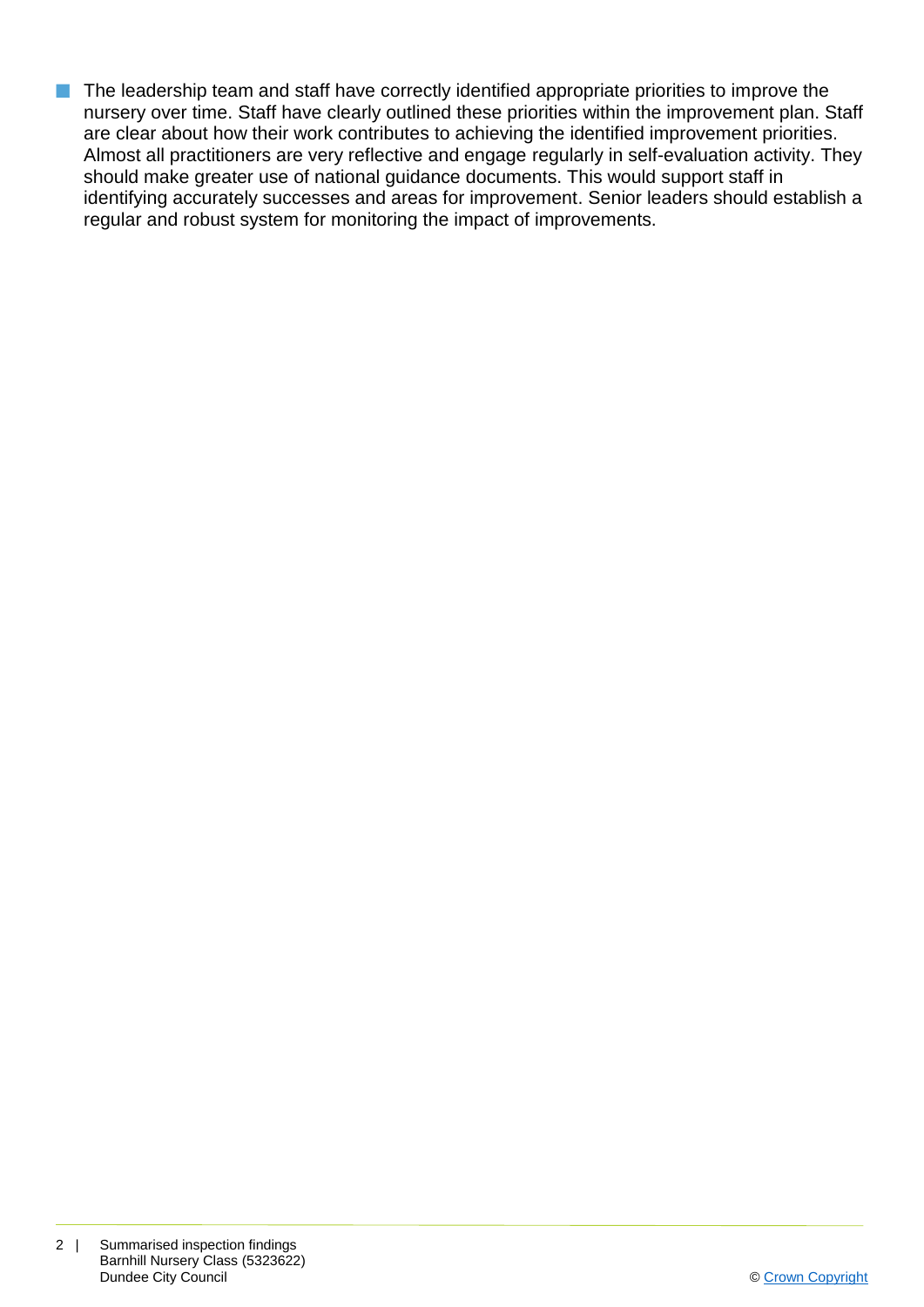The leadership team and staff have correctly identified appropriate priorities to improve the nursery over time. Staff have clearly outlined these priorities within the improvement plan. Staff are clear about how their work contributes to achieving the identified improvement priorities. Almost all practitioners are very reflective and engage regularly in self-evaluation activity. They should make greater use of national guidance documents. This would support staff in identifying accurately successes and areas for improvement. Senior leaders should establish a regular and robust system for monitoring the impact of improvements.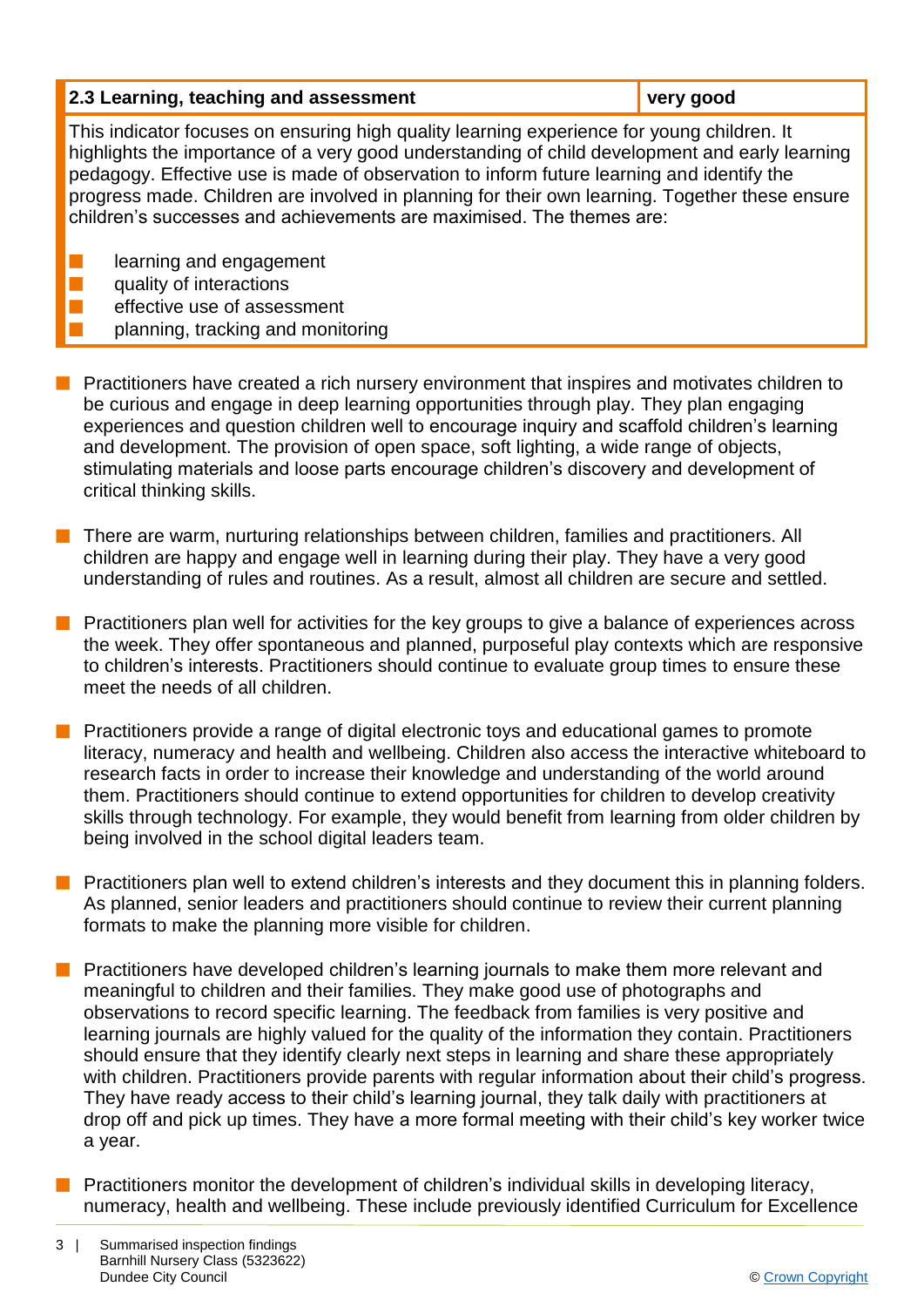| 2.3 Learning, teaching and assessment                                                                                                                                                                                                                                                                                                                                                                                                                               | very good |  |
|---------------------------------------------------------------------------------------------------------------------------------------------------------------------------------------------------------------------------------------------------------------------------------------------------------------------------------------------------------------------------------------------------------------------------------------------------------------------|-----------|--|
| This indicator focuses on ensuring high quality learning experience for young children. It<br>highlights the importance of a very good understanding of child development and early learning<br>pedagogy. Effective use is made of observation to inform future learning and identify the<br>progress made. Children are involved in planning for their own learning. Together these ensure<br>children's successes and achievements are maximised. The themes are: |           |  |
| learning and engagement<br>quality of interactions                                                                                                                                                                                                                                                                                                                                                                                                                  |           |  |

- effective use of assessment planning, tracking and monitoring
- **Peractitioners have created a rich nursery environment that inspires and motivates children to** be curious and engage in deep learning opportunities through play. They plan engaging experiences and question children well to encourage inquiry and scaffold children's learning and development. The provision of open space, soft lighting, a wide range of objects, stimulating materials and loose parts encourage children's discovery and development of critical thinking skills.
- **n** There are warm, nurturing relationships between children, families and practitioners. All children are happy and engage well in learning during their play. They have a very good understanding of rules and routines. As a result, almost all children are secure and settled.
- Practitioners plan well for activities for the key groups to give a balance of experiences across the week. They offer spontaneous and planned, purposeful play contexts which are responsive to children's interests. Practitioners should continue to evaluate group times to ensure these meet the needs of all children.
- Practitioners provide a range of digital electronic toys and educational games to promote literacy, numeracy and health and wellbeing. Children also access the interactive whiteboard to research facts in order to increase their knowledge and understanding of the world around them. Practitioners should continue to extend opportunities for children to develop creativity skills through technology. For example, they would benefit from learning from older children by being involved in the school digital leaders team.
- **n** Practitioners plan well to extend children's interests and they document this in planning folders. As planned, senior leaders and practitioners should continue to review their current planning formats to make the planning more visible for children.
- Practitioners have developed children's learning journals to make them more relevant and meaningful to children and their families. They make good use of photographs and observations to record specific learning. The feedback from families is very positive and learning journals are highly valued for the quality of the information they contain. Practitioners should ensure that they identify clearly next steps in learning and share these appropriately with children. Practitioners provide parents with regular information about their child's progress. They have ready access to their child's learning journal, they talk daily with practitioners at drop off and pick up times. They have a more formal meeting with their child's key worker twice a year.
- Practitioners monitor the development of children's individual skills in developing literacy, numeracy, health and wellbeing. These include previously identified Curriculum for Excellence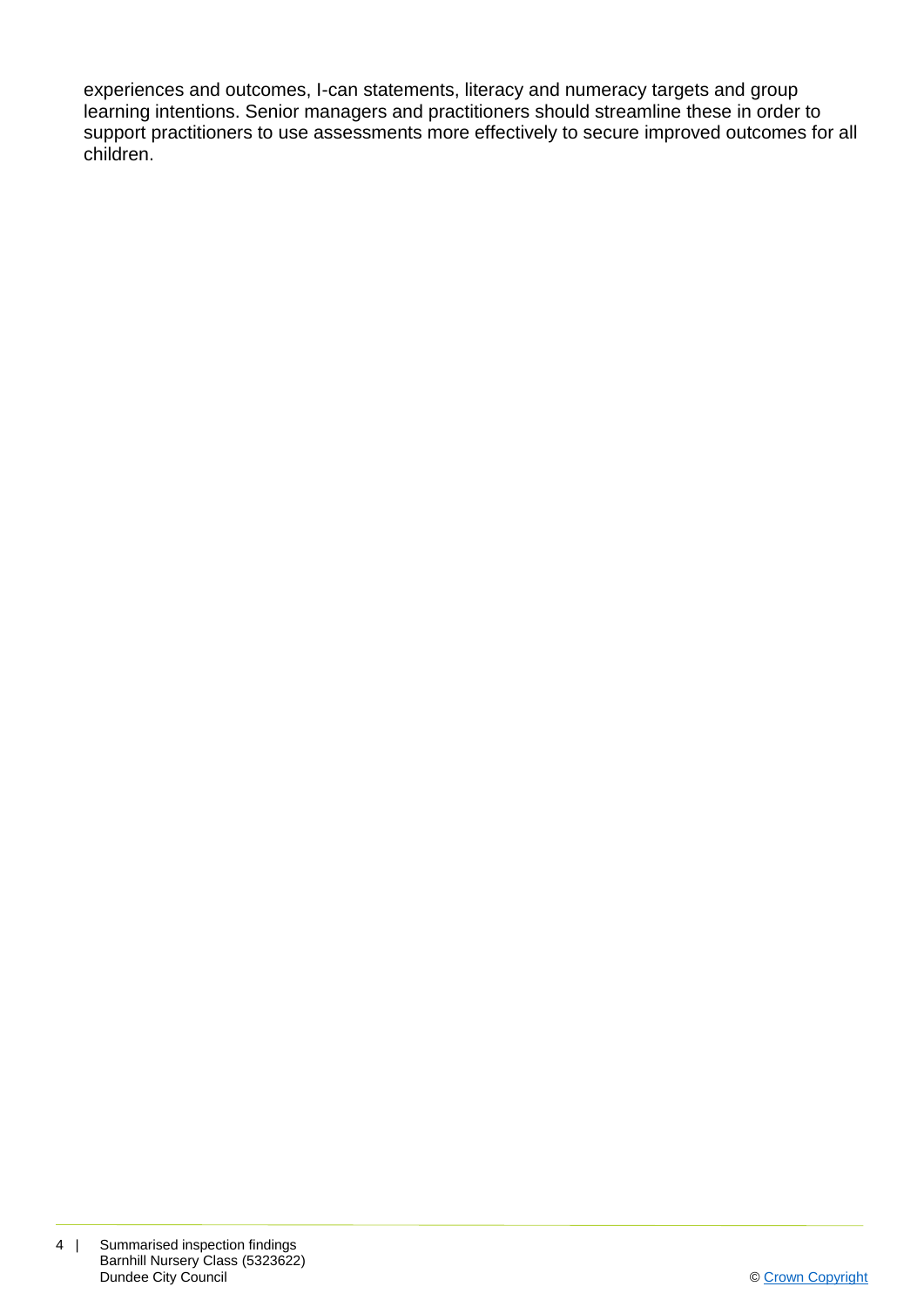experiences and outcomes, I-can statements, literacy and numeracy targets and group learning intentions. Senior managers and practitioners should streamline these in order to support practitioners to use assessments more effectively to secure improved outcomes for all children.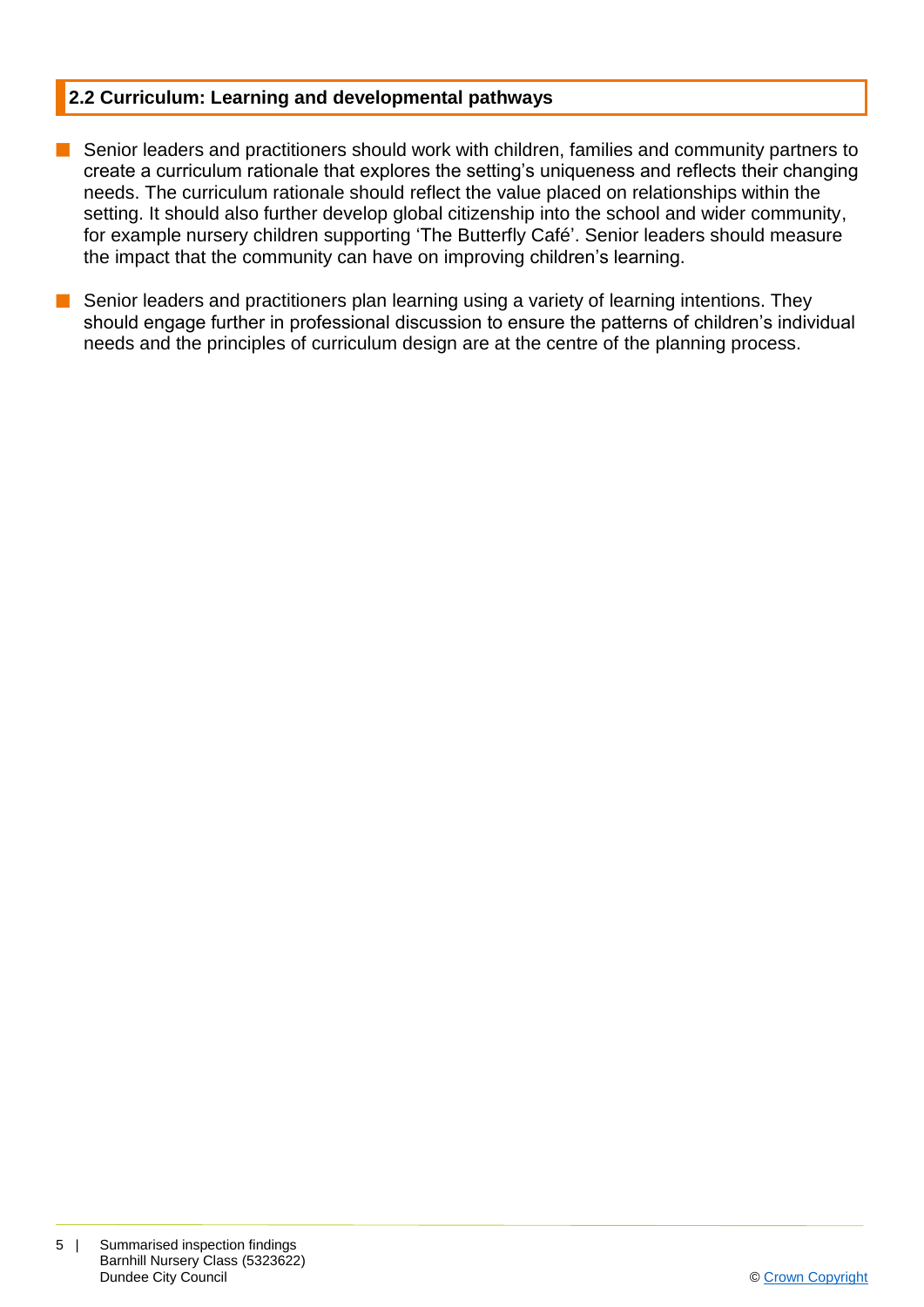#### **2.2 Curriculum: Learning and developmental pathways**

- **n** Senior leaders and practitioners should work with children, families and community partners to create a curriculum rationale that explores the setting's uniqueness and reflects their changing needs. The curriculum rationale should reflect the value placed on relationships within the setting. It should also further develop global citizenship into the school and wider community, for example nursery children supporting 'The Butterfly Café'. Senior leaders should measure the impact that the community can have on improving children's learning.
- Senior leaders and practitioners plan learning using a variety of learning intentions. They should engage further in professional discussion to ensure the patterns of children's individual needs and the principles of curriculum design are at the centre of the planning process.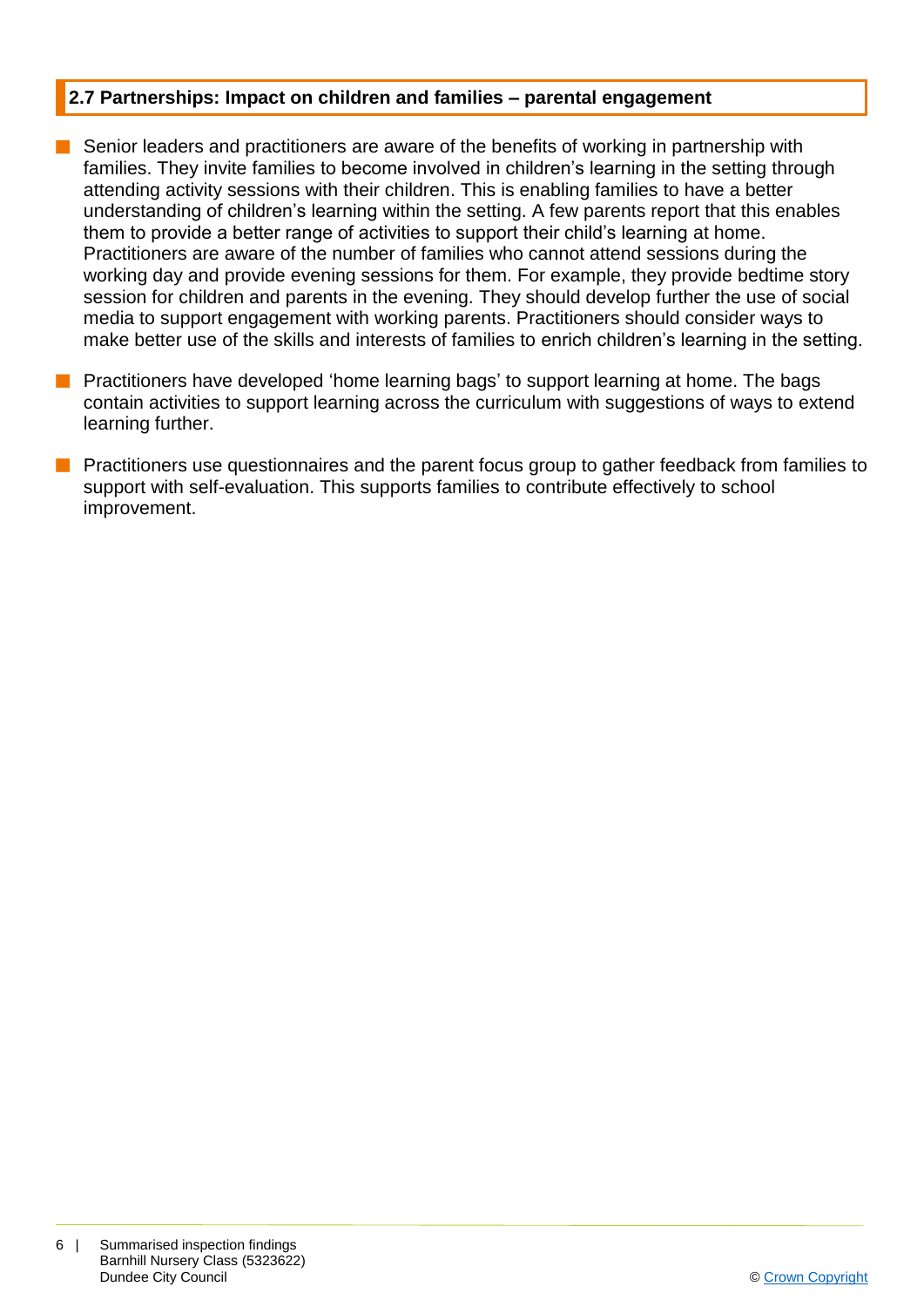#### **2.7 Partnerships: Impact on children and families – parental engagement**

- $\blacksquare$  Senior leaders and practitioners are aware of the benefits of working in partnership with families. They invite families to become involved in children's learning in the setting through attending activity sessions with their children. This is enabling families to have a better understanding of children's learning within the setting. A few parents report that this enables them to provide a better range of activities to support their child's learning at home. Practitioners are aware of the number of families who cannot attend sessions during the working day and provide evening sessions for them. For example, they provide bedtime story session for children and parents in the evening. They should develop further the use of social media to support engagement with working parents. Practitioners should consider ways to make better use of the skills and interests of families to enrich children's learning in the setting.
- **n** Practitioners have developed 'home learning bags' to support learning at home. The bags contain activities to support learning across the curriculum with suggestions of ways to extend learning further.
- **n** Practitioners use questionnaires and the parent focus group to gather feedback from families to support with self-evaluation. This supports families to contribute effectively to school improvement.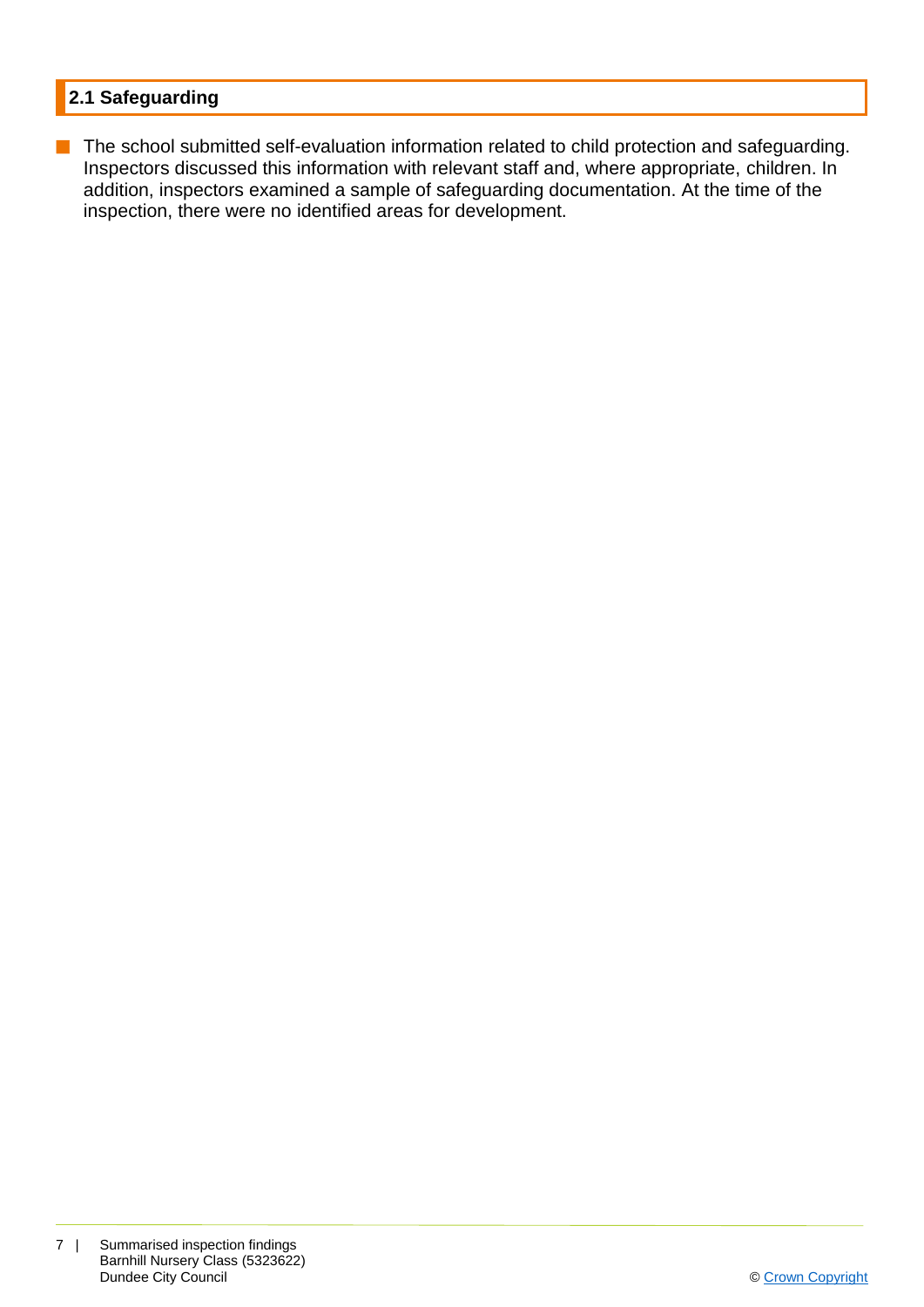### **2.1 Safeguarding**

**n** The school submitted self-evaluation information related to child protection and safeguarding. Inspectors discussed this information with relevant staff and, where appropriate, children. In addition, inspectors examined a sample of safeguarding documentation. At the time of the inspection, there were no identified areas for development.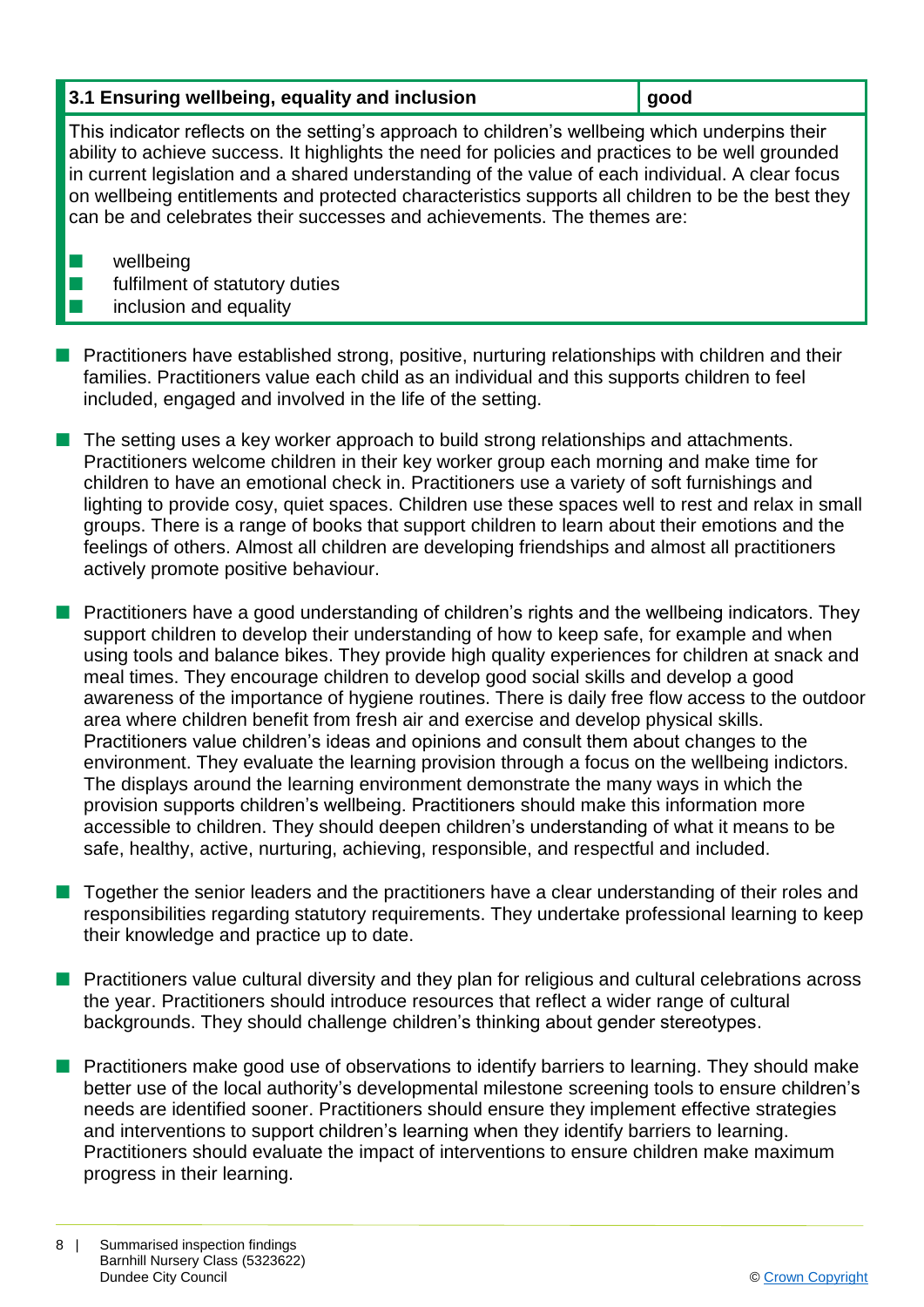#### **3.1 Ensuring wellbeing, equality and inclusion gives good**

This indicator reflects on the setting's approach to children's wellbeing which underpins their ability to achieve success. It highlights the need for policies and practices to be well grounded in current legislation and a shared understanding of the value of each individual. A clear focus on wellbeing entitlements and protected characteristics supports all children to be the best they can be and celebrates their successes and achievements. The themes are:

 $\blacksquare$  wellbeing

 $\blacksquare$  fulfilment of statutory duties

## $\blacksquare$  inclusion and equality

- **n** Practitioners have established strong, positive, nurturing relationships with children and their families. Practitioners value each child as an individual and this supports children to feel included, engaged and involved in the life of the setting.
- $\blacksquare$  The setting uses a key worker approach to build strong relationships and attachments. Practitioners welcome children in their key worker group each morning and make time for children to have an emotional check in. Practitioners use a variety of soft furnishings and lighting to provide cosy, quiet spaces. Children use these spaces well to rest and relax in small groups. There is a range of books that support children to learn about their emotions and the feelings of others. Almost all children are developing friendships and almost all practitioners actively promote positive behaviour.
- **n** Practitioners have a good understanding of children's rights and the wellbeing indicators. They support children to develop their understanding of how to keep safe, for example and when using tools and balance bikes. They provide high quality experiences for children at snack and meal times. They encourage children to develop good social skills and develop a good awareness of the importance of hygiene routines. There is daily free flow access to the outdoor area where children benefit from fresh air and exercise and develop physical skills. Practitioners value children's ideas and opinions and consult them about changes to the environment. They evaluate the learning provision through a focus on the wellbeing indictors. The displays around the learning environment demonstrate the many ways in which the provision supports children's wellbeing. Practitioners should make this information more accessible to children. They should deepen children's understanding of what it means to be safe, healthy, active, nurturing, achieving, responsible, and respectful and included.
- n Together the senior leaders and the practitioners have a clear understanding of their roles and responsibilities regarding statutory requirements. They undertake professional learning to keep their knowledge and practice up to date.
- Practitioners value cultural diversity and they plan for religious and cultural celebrations across the year. Practitioners should introduce resources that reflect a wider range of cultural backgrounds. They should challenge children's thinking about gender stereotypes.
- **n** Practitioners make good use of observations to identify barriers to learning. They should make better use of the local authority's developmental milestone screening tools to ensure children's needs are identified sooner. Practitioners should ensure they implement effective strategies and interventions to support children's learning when they identify barriers to learning. Practitioners should evaluate the impact of interventions to ensure children make maximum progress in their learning.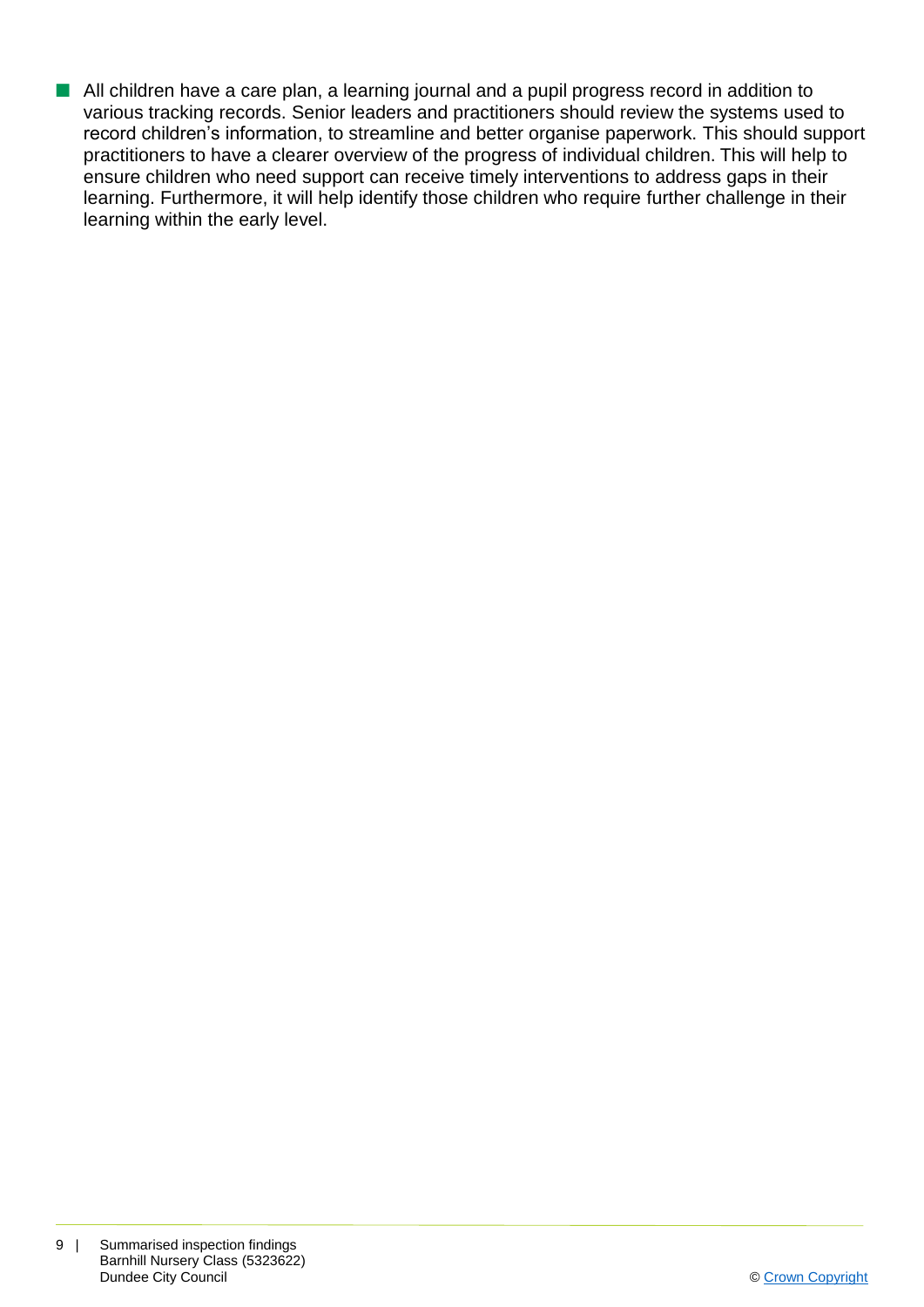**n** All children have a care plan, a learning journal and a pupil progress record in addition to various tracking records. Senior leaders and practitioners should review the systems used to record children's information, to streamline and better organise paperwork. This should support practitioners to have a clearer overview of the progress of individual children. This will help to ensure children who need support can receive timely interventions to address gaps in their learning. Furthermore, it will help identify those children who require further challenge in their learning within the early level.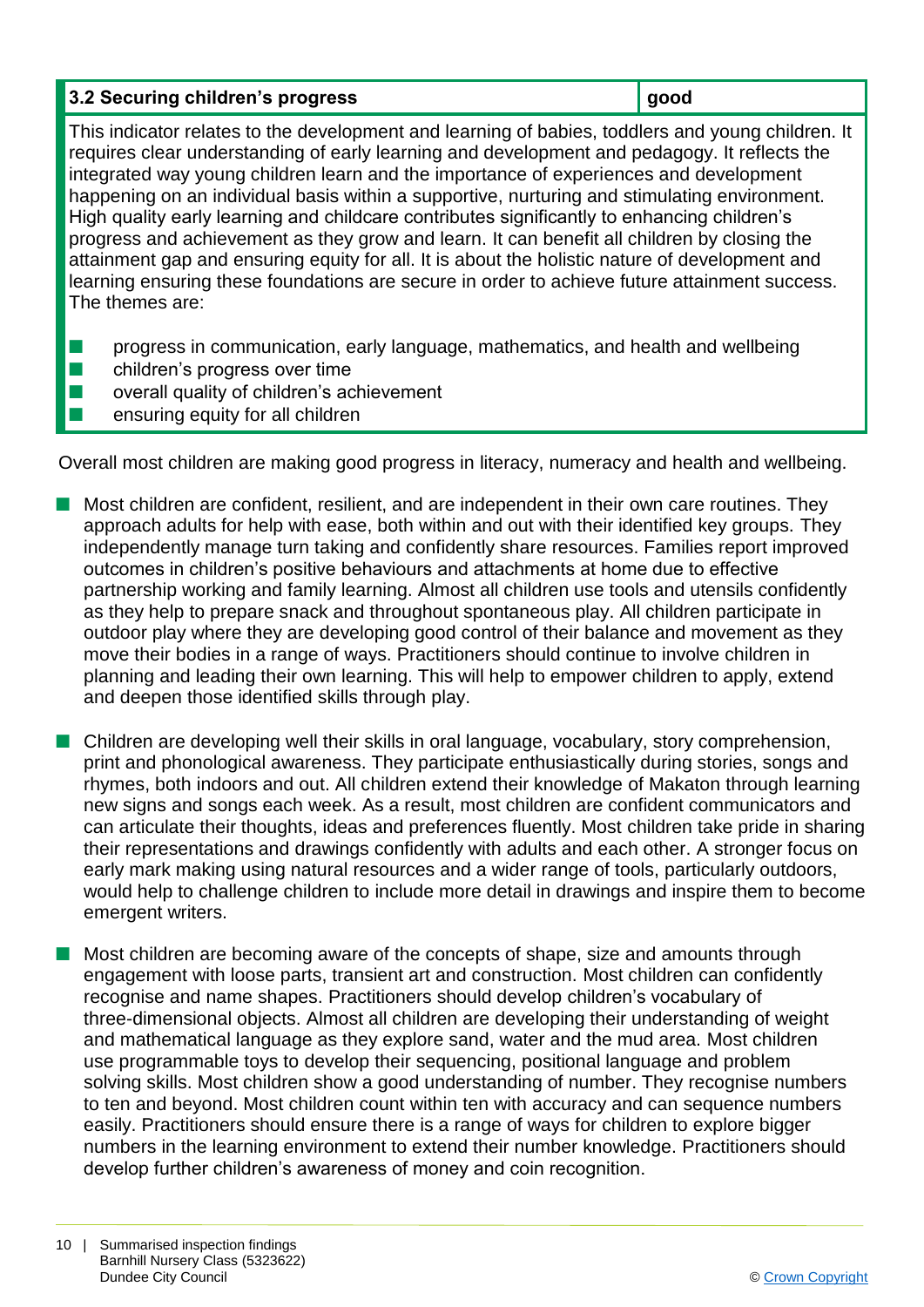## **3.2 Securing children's progress good**

This indicator relates to the development and learning of babies, toddlers and young children. It requires clear understanding of early learning and development and pedagogy. It reflects the integrated way young children learn and the importance of experiences and development happening on an individual basis within a supportive, nurturing and stimulating environment. High quality early learning and childcare contributes significantly to enhancing children's progress and achievement as they grow and learn. It can benefit all children by closing the attainment gap and ensuring equity for all. It is about the holistic nature of development and learning ensuring these foundations are secure in order to achieve future attainment success. The themes are:

- $\blacksquare$  progress in communication, early language, mathematics, and health and wellbeing
- $\blacksquare$  children's progress over time
- $\blacksquare$  overall quality of children's achievement
- $\blacksquare$  ensuring equity for all children

Overall most children are making good progress in literacy, numeracy and health and wellbeing.

- n Most children are confident, resilient, and are independent in their own care routines. They approach adults for help with ease, both within and out with their identified key groups. They independently manage turn taking and confidently share resources. Families report improved outcomes in children's positive behaviours and attachments at home due to effective partnership working and family learning. Almost all children use tools and utensils confidently as they help to prepare snack and throughout spontaneous play. All children participate in outdoor play where they are developing good control of their balance and movement as they move their bodies in a range of ways. Practitioners should continue to involve children in planning and leading their own learning. This will help to empower children to apply, extend and deepen those identified skills through play.
- **n** Children are developing well their skills in oral language, vocabulary, story comprehension, print and phonological awareness. They participate enthusiastically during stories, songs and rhymes, both indoors and out. All children extend their knowledge of Makaton through learning new signs and songs each week. As a result, most children are confident communicators and can articulate their thoughts, ideas and preferences fluently. Most children take pride in sharing their representations and drawings confidently with adults and each other. A stronger focus on early mark making using natural resources and a wider range of tools, particularly outdoors, would help to challenge children to include more detail in drawings and inspire them to become emergent writers.
- Most children are becoming aware of the concepts of shape, size and amounts through engagement with loose parts, transient art and construction. Most children can confidently recognise and name shapes. Practitioners should develop children's vocabulary of three-dimensional objects. Almost all children are developing their understanding of weight and mathematical language as they explore sand, water and the mud area. Most children use programmable toys to develop their sequencing, positional language and problem solving skills. Most children show a good understanding of number. They recognise numbers to ten and beyond. Most children count within ten with accuracy and can sequence numbers easily. Practitioners should ensure there is a range of ways for children to explore bigger numbers in the learning environment to extend their number knowledge. Practitioners should develop further children's awareness of money and coin recognition.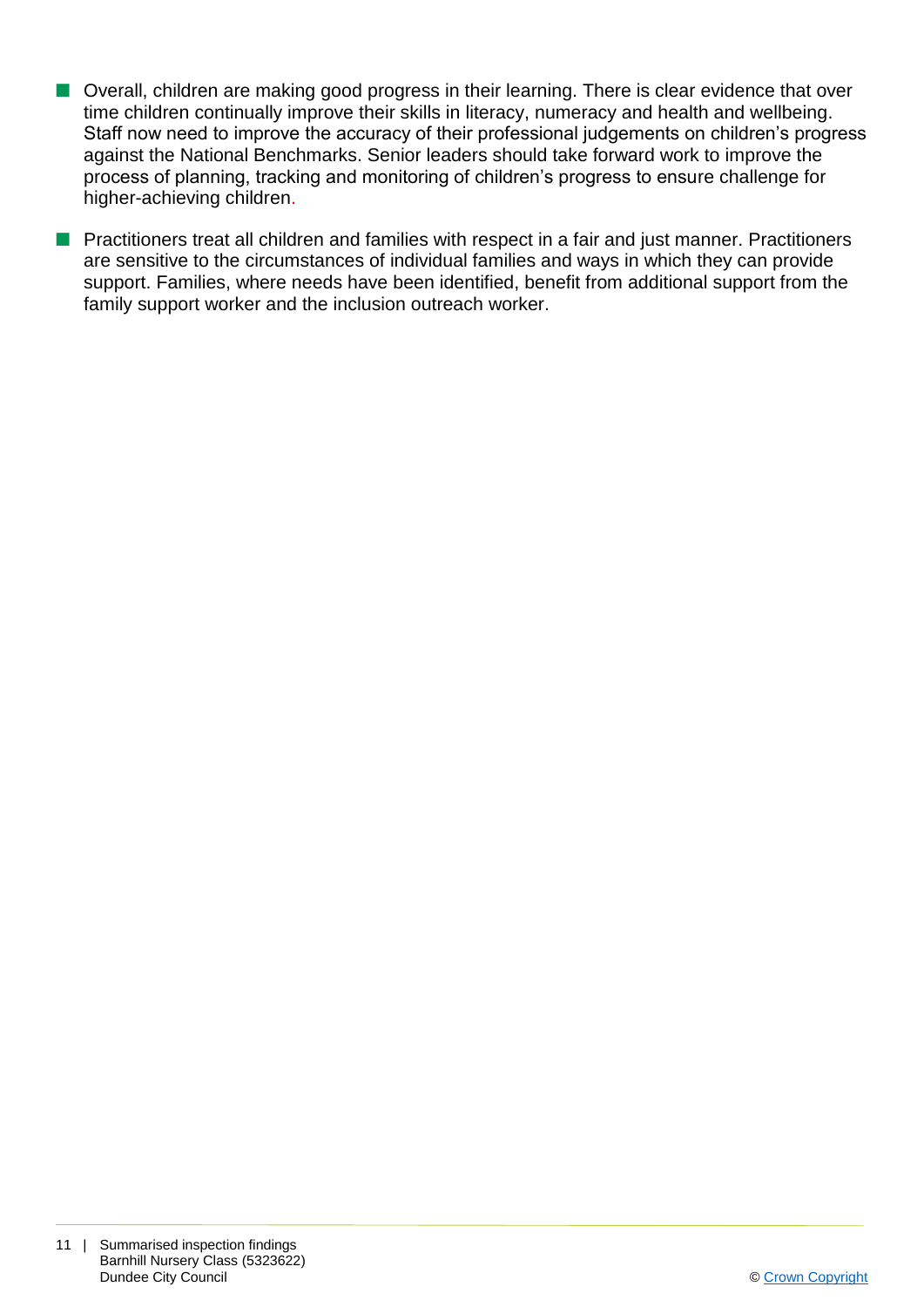- Overall, children are making good progress in their learning. There is clear evidence that over time children continually improve their skills in literacy, numeracy and health and wellbeing. Staff now need to improve the accuracy of their professional judgements on children's progress against the National Benchmarks. Senior leaders should take forward work to improve the process of planning, tracking and monitoring of children's progress to ensure challenge for higher-achieving children.
- **n** Practitioners treat all children and families with respect in a fair and just manner. Practitioners are sensitive to the circumstances of individual families and ways in which they can provide support. Families, where needs have been identified, benefit from additional support from the family support worker and the inclusion outreach worker.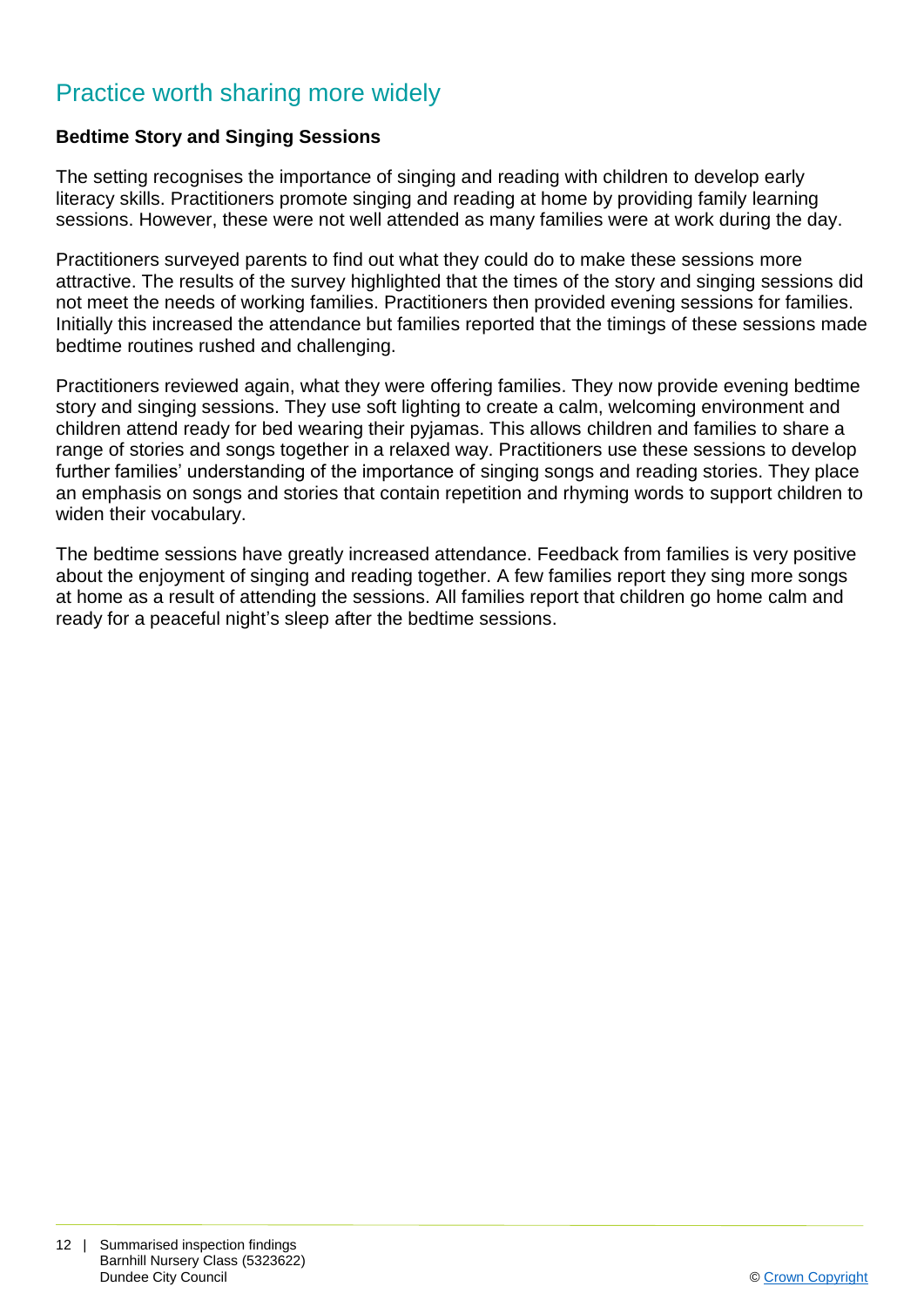## Practice worth sharing more widely

#### **Bedtime Story and Singing Sessions**

The setting recognises the importance of singing and reading with children to develop early literacy skills. Practitioners promote singing and reading at home by providing family learning sessions. However, these were not well attended as many families were at work during the day.

Practitioners surveyed parents to find out what they could do to make these sessions more attractive. The results of the survey highlighted that the times of the story and singing sessions did not meet the needs of working families. Practitioners then provided evening sessions for families. Initially this increased the attendance but families reported that the timings of these sessions made bedtime routines rushed and challenging.

Practitioners reviewed again, what they were offering families. They now provide evening bedtime story and singing sessions. They use soft lighting to create a calm, welcoming environment and children attend ready for bed wearing their pyjamas. This allows children and families to share a range of stories and songs together in a relaxed way. Practitioners use these sessions to develop further families' understanding of the importance of singing songs and reading stories. They place an emphasis on songs and stories that contain repetition and rhyming words to support children to widen their vocabulary.

The bedtime sessions have greatly increased attendance. Feedback from families is very positive about the enjoyment of singing and reading together. A few families report they sing more songs at home as a result of attending the sessions. All families report that children go home calm and ready for a peaceful night's sleep after the bedtime sessions.